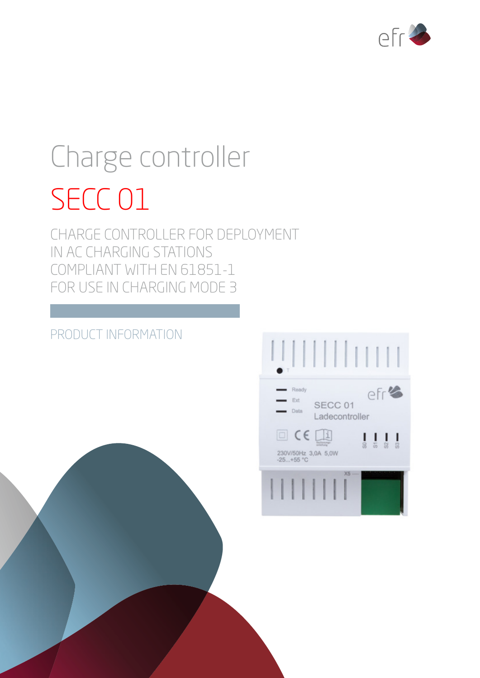

# Charge controller SECC 01

CHARGE CONTROLLER FOR DEPLOYMENT IN AC CHARGING STATIONS COMPLIANT WITH EN 61851-1 FOR USE IN CHARGING MODE 3

# PRODUCT INFORMATION

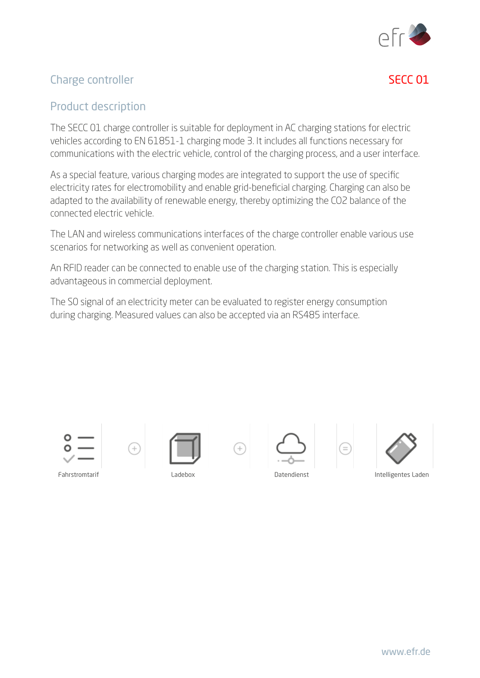

# Charge controller and the second second second second second second second second second second second second second second second second second second second second second second second second second second second second

# Product description

The SECC 01 charge controller is suitable for deployment in AC charging stations for electric vehicles according to EN 61851-1 charging mode 3. It includes all functions necessary for communications with the electric vehicle, control of the charging process, and a user interface.

As a special feature, various charging modes are integrated to support the use of specific electricity rates for electromobility and enable grid-beneficial charging. Charging can also be adapted to the availability of renewable energy, thereby optimizing the CO2 balance of the connected electric vehicle.

The LAN and wireless communications interfaces of the charge controller enable various use scenarios for networking as well as convenient operation.

An RFID reader can be connected to enable use of the charging station. This is especially advantageous in commercial deployment.

The S0 signal of an electricity meter can be evaluated to register energy consumption during charging. Measured values can also be accepted via an RS485 interface.











Fahrstromtarif Ladebox Datendienst Intelligentes Laden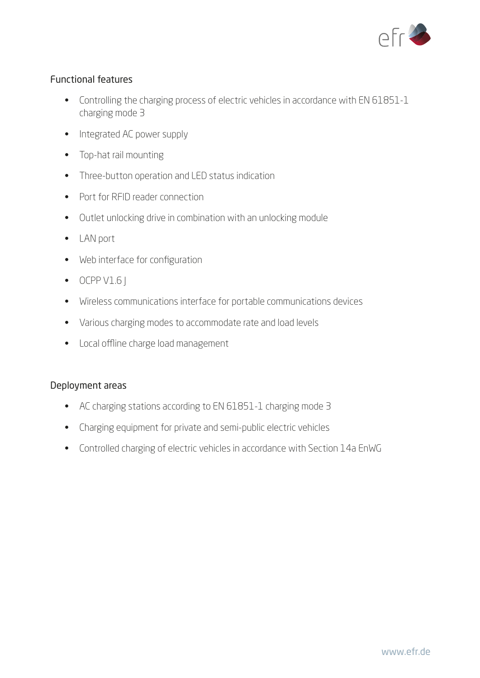

### Functional features

- Controlling the charging process of electric vehicles in accordance with EN 61851-1 charging mode 3
- Integrated AC power supply
- Top-hat rail mounting
- Three-button operation and LED status indication
- Port for RFID reader connection
- Outlet unlocking drive in combination with an unlocking module
- LAN port
- Web interface for configuration
- $\bullet$  OCPP V1.6
- Wireless communications interface for portable communications devices
- Various charging modes to accommodate rate and load levels
- Local offline charge load management

#### Deployment areas

- AC charging stations according to EN 61851-1 charging mode 3
- Charging equipment for private and semi-public electric vehicles
- Controlled charging of electric vehicles in accordance with Section 14a EnWG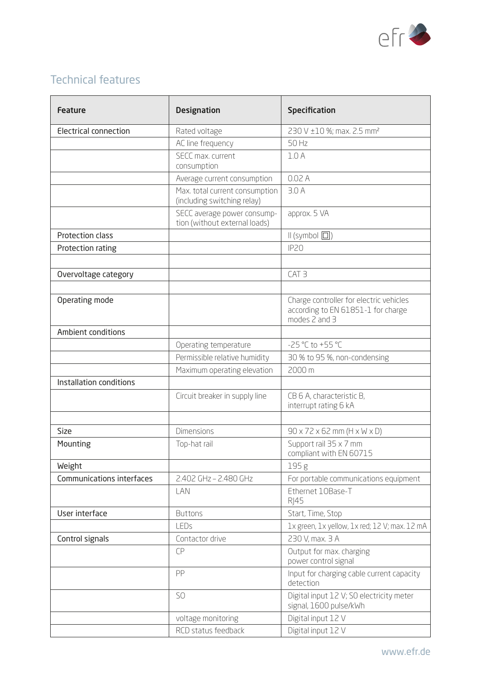

# Technical features

| <b>Feature</b>               | <b>Designation</b>                                            | <b>Specification</b>                                                                           |
|------------------------------|---------------------------------------------------------------|------------------------------------------------------------------------------------------------|
| <b>Electrical connection</b> | Rated voltage                                                 | 230 V ±10 %; max. 2.5 mm <sup>2</sup>                                                          |
|                              | AC line frequency                                             | 50 Hz                                                                                          |
|                              | SECC max, current<br>consumption                              | 1.0A                                                                                           |
|                              | Average current consumption                                   | 0.02A                                                                                          |
|                              | Max. total current consumption<br>(including switching relay) | 3.0A                                                                                           |
|                              | SECC average power consump-<br>tion (without external loads)  | approx. 5 VA                                                                                   |
| Protection class             |                                                               | $\mathsf{II}$ (symbol $\Box$ )                                                                 |
| Protection rating            |                                                               | IP <sub>20</sub>                                                                               |
|                              |                                                               |                                                                                                |
| Overvoltage category         |                                                               | CAT <sub>3</sub>                                                                               |
|                              |                                                               |                                                                                                |
| Operating mode               |                                                               | Charge controller for electric vehicles<br>according to EN 61851-1 for charge<br>modes 2 and 3 |
| Ambient conditions           |                                                               |                                                                                                |
|                              | Operating temperature                                         | -25 °C to +55 °C                                                                               |
|                              | Permissible relative humidity                                 | 30 % to 95 %, non-condensing                                                                   |
|                              | Maximum operating elevation                                   | 2000 m                                                                                         |
| Installation conditions      |                                                               |                                                                                                |
|                              | Circuit breaker in supply line                                | CB 6 A, characteristic B,<br>interrupt rating 6 kA                                             |
| <b>Size</b>                  | <b>Dimensions</b>                                             | $90 \times 72 \times 62$ mm (H $\times$ W $\times$ D)                                          |
| Mounting                     | Top-hat rail                                                  | Support rail 35 x 7 mm<br>compliant with EN 60715                                              |
| Weight                       |                                                               | 195g                                                                                           |
| Communications interfaces    | 2.402 GHz - 2.480 GHz                                         | For portable communications equipment                                                          |
|                              | LAN                                                           | Ethernet 10Base-T<br><b>RJ45</b>                                                               |
| User interface               | <b>Buttons</b>                                                | Start, Time, Stop                                                                              |
|                              | LEDs                                                          | 1x green, 1x yellow, 1x red; 12 V; max. 12 mA                                                  |
| Control signals              | Contactor drive                                               | 230 V, max. 3 A                                                                                |
|                              | <b>CP</b>                                                     | Output for max. charging<br>power control signal                                               |
|                              | PP                                                            | Input for charging cable current capacity<br>detection                                         |
|                              | SO                                                            | Digital input 12 V; SO electricity meter<br>signal, 1600 pulse/kWh                             |
|                              | voltage monitoring                                            | Digital input 12 V                                                                             |
|                              | RCD status feedback                                           | Digital input 12 V                                                                             |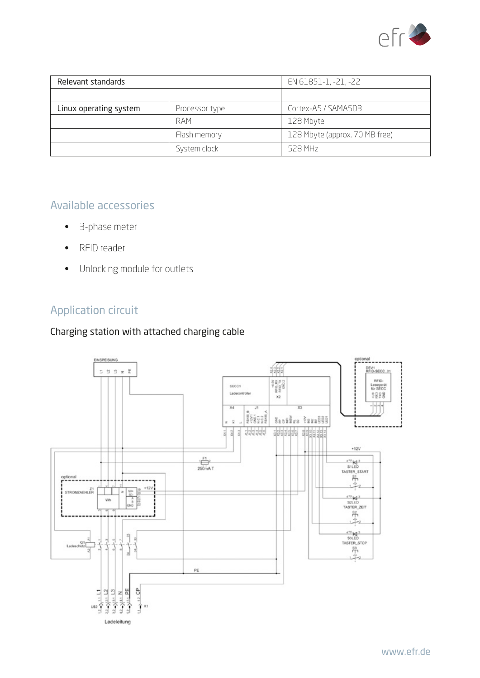

| Relevant standards     |                | EN 61851-1, -21, -22           |
|------------------------|----------------|--------------------------------|
|                        |                |                                |
| Linux operating system | Processor type | Cortex-A5 / SAMA5D3            |
|                        | RAM            | 128 Mbyte                      |
|                        | Flash memory   | 128 Mbyte (approx. 70 MB free) |
|                        | System clock   | 528 MH <sub>z</sub>            |

# Available accessories

- 3-phase meter
- RFID reader
- Unlocking module for outlets

# Application circuit

# Charging station with attached charging cable

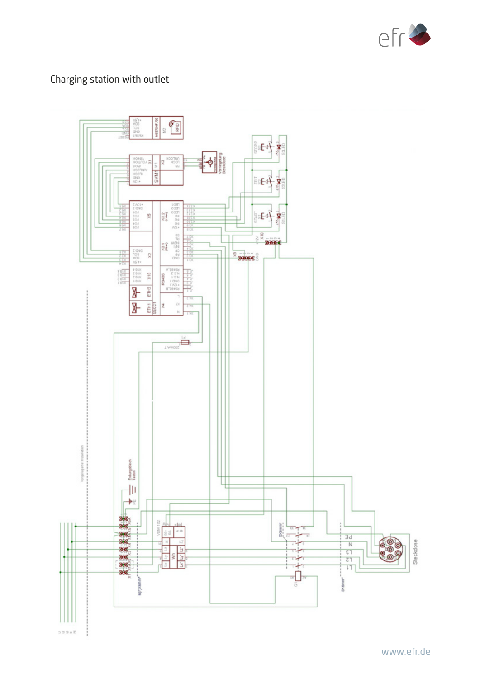

# Charging station with outlet

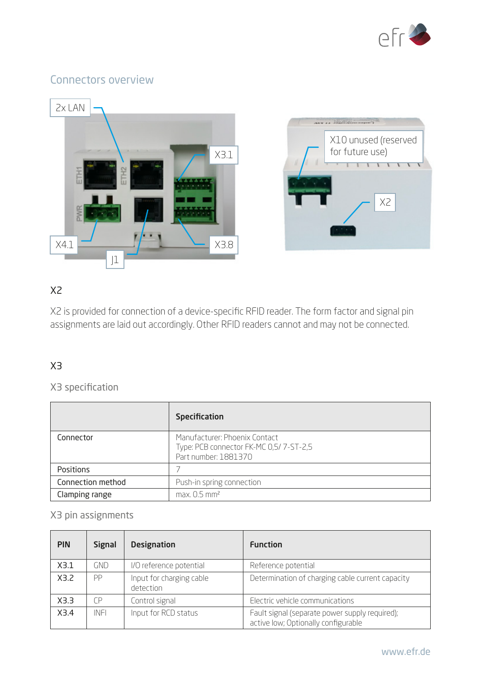

# Connectors overview



# X2

X2 is provided for connection of a device-specific RFID reader. The form factor and signal pin assignments are laid out accordingly. Other RFID readers cannot and may not be connected.

# X3

# X3 specification

|                   | <b>Specification</b>                                                                            |
|-------------------|-------------------------------------------------------------------------------------------------|
| Connector         | Manufacturer: Phoenix Contact<br>Type: PCB connector FK-MC 0,5/7-ST-2,5<br>Part number: 1881370 |
| Positions         |                                                                                                 |
| Connection method | Push-in spring connection                                                                       |
| Clamping range    | $max. 0.5$ mm <sup>2</sup>                                                                      |

# X3 pin assignments

| <b>PIN</b> | <b>Signal</b> | <b>Designation</b>                    | <b>Function</b>                                                                       |
|------------|---------------|---------------------------------------|---------------------------------------------------------------------------------------|
| X3.1       | GND           | I/O reference potential               | Reference potential                                                                   |
| X3.2       | PP            | Input for charging cable<br>detection | Determination of charging cable current capacity                                      |
| X3.3       | ΓP            | Control signal                        | Electric vehicle communications                                                       |
| X3.4       | INFI          | Input for RCD status                  | Fault signal (separate power supply required);<br>active low; Optionally configurable |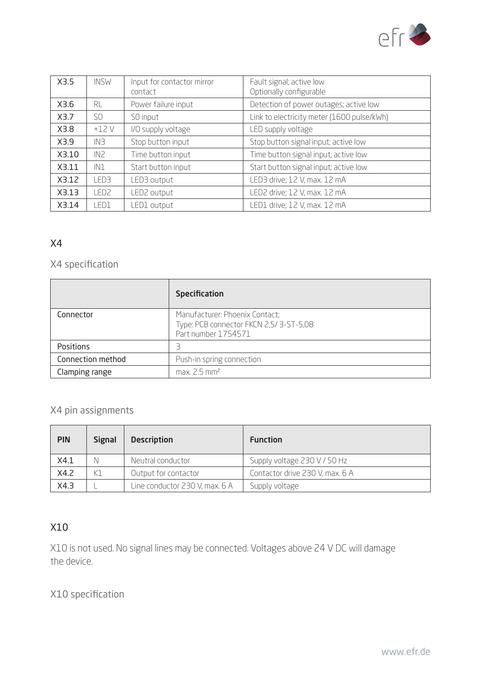

| X3.5  | <b>INSW</b>     | Input for contactor mirror<br>contact | Fault signal; active low<br>Optionally configurable |
|-------|-----------------|---------------------------------------|-----------------------------------------------------|
| X3.6  | <b>RL</b>       | Power failure input                   | Detection of power outages; active low              |
| X3.7  | S <sub>0</sub>  | SO input                              | Link to electricity meter (1600 pulse/kWh)          |
| X3.8  | $+12V$          | I/O supply voltage                    | LED supply voltage                                  |
| X3.9  | IN <sub>3</sub> | Stop button input                     | Stop button signal input; active low                |
| X3.10 | IN <sub>2</sub> | Time button input                     | Time button signal input; active low                |
| X3.11 | IN1             | Start button input                    | Start button signal input; active low               |
| X3.12 | FD3             | LED3 output                           | LED3 drive; 12 V, max. 12 mA                        |
| X3.13 | ED2.            | <b>ED2</b> output                     | LED2 drive; 12 V, max. 12 mA                        |
| X3.14 | LED1            | ED1 output                            | LED1 drive; 12 V, max. 12 mA                        |

### X4

# X4 specification

|                   | <b>Specification</b>                                                                            |
|-------------------|-------------------------------------------------------------------------------------------------|
| Connector         | Manufacturer: Phoenix Contact;<br>Type: PCB connector FKCN 2,5/3-ST-5,08<br>Part number 1754571 |
| Positions         |                                                                                                 |
| Connection method | Push-in spring connection                                                                       |
| Clamping range    | $max. 2.5$ mm <sup>2</sup>                                                                      |

# X4 pin assignments

| <b>PIN</b> | <b>Signal</b> | <b>Description</b>             | <b>Function</b>                 |
|------------|---------------|--------------------------------|---------------------------------|
| X4.1       | N             | Neutral conductor              | Supply voltage 230 V / 50 Hz    |
| X4.2       | K1            | Output for contactor           | Contactor drive 230 V, max. 6 A |
| X4.3       |               | Line conductor 230 V, max. 6 A | Supply voltage                  |

# X10

X10 is not used. No signal lines may be connected. Voltages above 24 V DC will damage the device.

X10 specification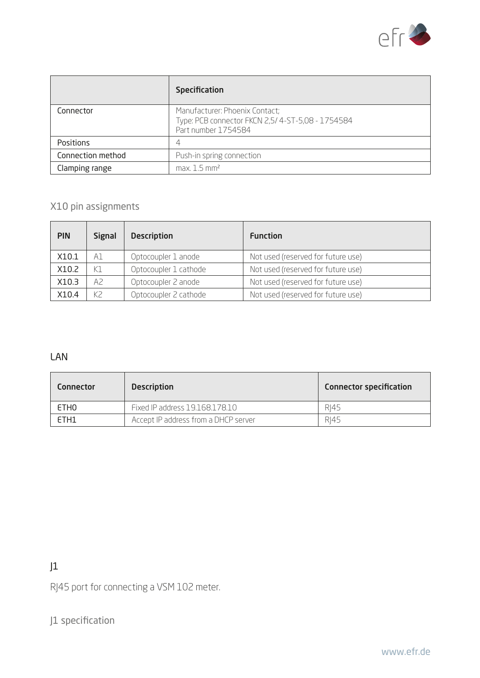

|                   | <b>Specification</b>                                                                                      |
|-------------------|-----------------------------------------------------------------------------------------------------------|
| Connector         | Manufacturer: Phoenix Contact;<br>Type: PCB connector FKCN 2,5/4-ST-5,08 - 1754584<br>Part number 1754584 |
| Positions         | 4                                                                                                         |
| Connection method | Push-in spring connection                                                                                 |
| Clamping range    | $max. 1.5$ mm <sup>2</sup>                                                                                |

# X10 pin assignments

| <b>PIN</b> | <b>Signal</b> | <b>Description</b>    | <b>Function</b>                    |
|------------|---------------|-----------------------|------------------------------------|
| X10.1      | A1            | Optocoupler 1 anode   | Not used (reserved for future use) |
| X10.2      | K1            | Optocoupler 1 cathode | Not used (reserved for future use) |
| X10.3      | A2            | Optocoupler 2 anode   | Not used (reserved for future use) |
| X10.4      | K2            | Optocoupler 2 cathode | Not used (reserved for future use) |

#### LAN

| <b>Connector</b> | <b>Description</b>                   | <b>Connector specification</b> |
|------------------|--------------------------------------|--------------------------------|
| ETH <sub>0</sub> | Fixed IP address 19.168.178.10       | RI45                           |
| ETH1             | Accept IP address from a DHCP server | RI45                           |

# $J<sub>1</sub>$

RJ45 port for connecting a VSM 102 meter.

J1 specification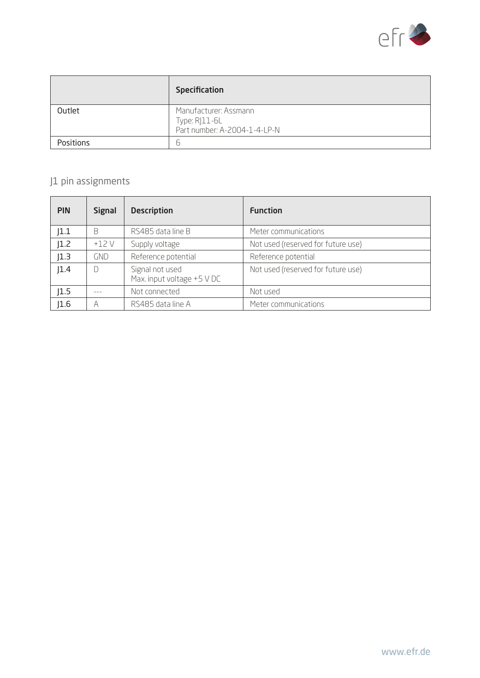

|                  | Specification                                                          |
|------------------|------------------------------------------------------------------------|
| Outlet           | Manufacturer: Assmann<br>Type: RJ11-6L<br>Part number: A-2004-1-4-LP-N |
| <b>Positions</b> | Ь                                                                      |

# J1 pin assignments

| <b>PIN</b> | <b>Signal</b> | <b>Description</b>                            | <b>Function</b>                    |
|------------|---------------|-----------------------------------------------|------------------------------------|
| 1.1        | B             | RS485 data line B                             | Meter communications               |
| 1.2        | $+12V$        | Supply voltage                                | Not used (reserved for future use) |
| 1.3        | <b>GND</b>    | Reference potential                           | Reference potential                |
| 1.4        | D             | Signal not used<br>Max. input voltage +5 V DC | Not used (reserved for future use) |
| 1.5        |               | Not connected                                 | Not used                           |
| 1.6        | А             | RS485 data line A                             | Meter communications               |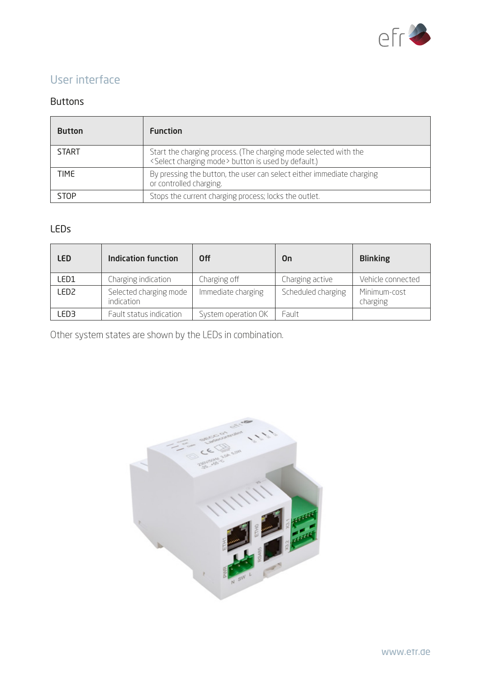

# User interface

#### Buttons

| <b>Button</b> | <b>Function</b>                                                                                                                       |  |  |  |
|---------------|---------------------------------------------------------------------------------------------------------------------------------------|--|--|--|
| <b>START</b>  | Start the charging process. (The charging mode selected with the<br><select charging="" mode=""> button is used by default.)</select> |  |  |  |
| TIME          | By pressing the button, the user can select either immediate charging<br>or controlled charging.                                      |  |  |  |
| STOP          | Stops the current charging process; locks the outlet.                                                                                 |  |  |  |

# LEDs

| LED   | <b>Indication function</b>                  | 0ff                 | 0n                 | <b>Blinking</b>          |
|-------|---------------------------------------------|---------------------|--------------------|--------------------------|
| LED1  | Charging indication                         | Charging off        | Charging active    | Vehicle connected        |
| LED2. | Selected charging mode<br><i>indication</i> | Immediate charging  | Scheduled charging | Minimum-cost<br>charging |
| ED3   | Fault status indication                     | System operation OK | Fault              |                          |

Other system states are shown by the LEDs in combination.

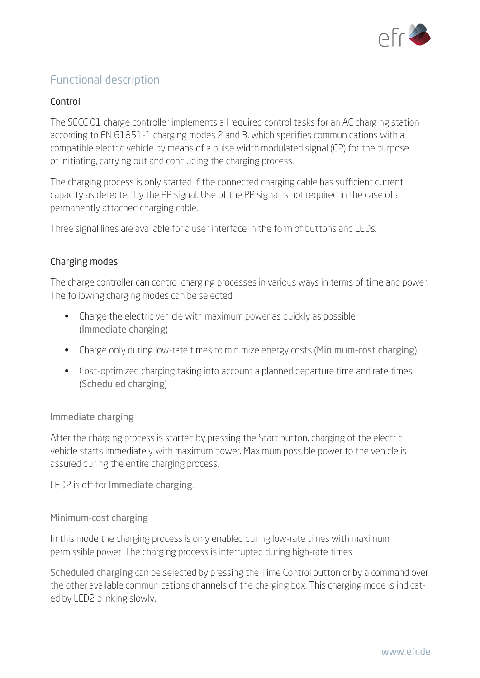

# Functional description

### Control

The SECC 01 charge controller implements all required control tasks for an AC charging station according to EN 61851-1 charging modes 2 and 3, which specifies communications with a compatible electric vehicle by means of a pulse width modulated signal (CP) for the purpose of initiating, carrying out and concluding the charging process.

The charging process is only started if the connected charging cable has sufficient current capacity as detected by the PP signal. Use of the PP signal is not required in the case of a permanently attached charging cable.

Three signal lines are available for a user interface in the form of buttons and LEDs.

#### Charging modes

The charge controller can control charging processes in various ways in terms of time and power. The following charging modes can be selected:

- Charge the electric vehicle with maximum power as quickly as possible (Immediate charging)
- Charge only during low-rate times to minimize energy costs (Minimum-cost charging)
- Cost-optimized charging taking into account a planned departure time and rate times (Scheduled charging)

#### Immediate charging

After the charging process is started by pressing the Start button, charging of the electric vehicle starts immediately with maximum power. Maximum possible power to the vehicle is assured during the entire charging process.

LED2 is off for Immediate charging.

#### Minimum-cost charging

In this mode the charging process is only enabled during low-rate times with maximum permissible power. The charging process is interrupted during high-rate times.

Scheduled charging can be selected by pressing the Time Control button or by a command over the other available communications channels of the charging box. This charging mode is indicated by LED2 blinking slowly.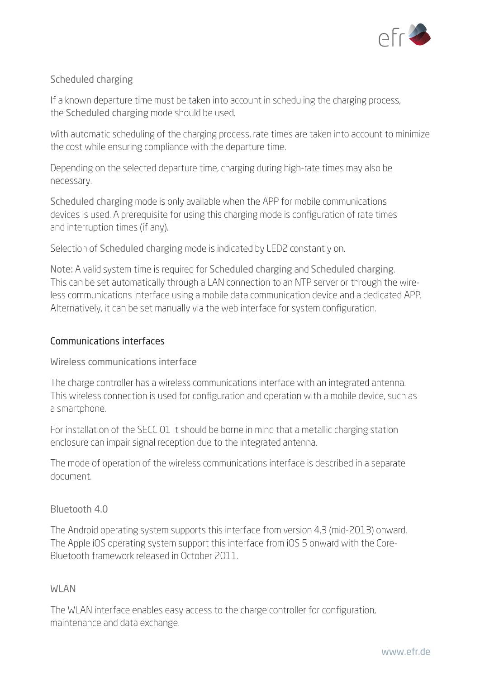

# Scheduled charging

If a known departure time must be taken into account in scheduling the charging process, the Scheduled charging mode should be used.

With automatic scheduling of the charging process, rate times are taken into account to minimize the cost while ensuring compliance with the departure time.

Depending on the selected departure time, charging during high-rate times may also be necessary.

Scheduled charging mode is only available when the APP for mobile communications devices is used. A prerequisite for using this charging mode is configuration of rate times and interruption times (if any).

Selection of Scheduled charging mode is indicated by LED2 constantly on.

Note: A valid system time is required for Scheduled charging and Scheduled charging. This can be set automatically through a LAN connection to an NTP server or through the wireless communications interface using a mobile data communication device and a dedicated APP. Alternatively, it can be set manually via the web interface for system configuration.

# Communications interfaces

Wireless communications interface

The charge controller has a wireless communications interface with an integrated antenna. This wireless connection is used for configuration and operation with a mobile device, such as a smartphone.

For installation of the SECC 01 it should be borne in mind that a metallic charging station enclosure can impair signal reception due to the integrated antenna.

The mode of operation of the wireless communications interface is described in a separate document.

#### Bluetooth 4.0

The Android operating system supports this interface from version 4.3 (mid-2013) onward. The Apple iOS operating system support this interface from iOS 5 onward with the Core-Bluetooth framework released in October 2011.

#### **WLAN**

The WLAN interface enables easy access to the charge controller for configuration, maintenance and data exchange.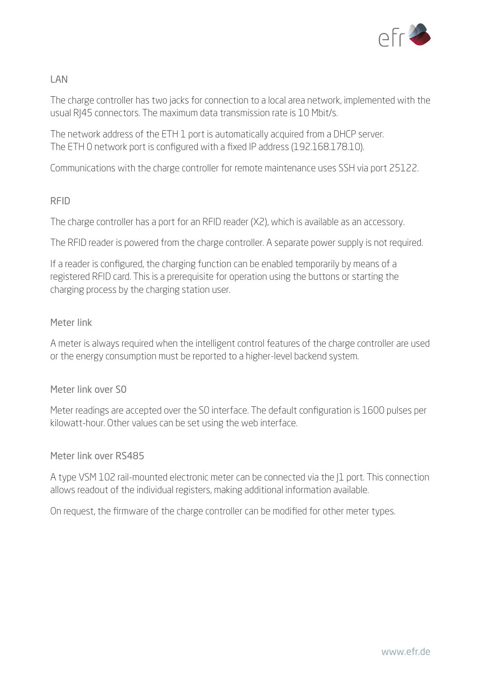

# LAN

The charge controller has two jacks for connection to a local area network, implemented with the usual RJ45 connectors. The maximum data transmission rate is 10 Mbit/s.

The network address of the ETH 1 port is automatically acquired from a DHCP server. The ETH 0 network port is configured with a fixed IP address (192.168.178.10).

Communications with the charge controller for remote maintenance uses SSH via port 25122.

#### RFID

The charge controller has a port for an RFID reader (X2), which is available as an accessory.

The RFID reader is powered from the charge controller. A separate power supply is not required.

If a reader is configured, the charging function can be enabled temporarily by means of a registered RFID card. This is a prerequisite for operation using the buttons or starting the charging process by the charging station user.

# Meter link

A meter is always required when the intelligent control features of the charge controller are used or the energy consumption must be reported to a higher-level backend system.

#### Meter link over S0

Meter readings are accepted over the S0 interface. The default configuration is 1600 pulses per kilowatt-hour. Other values can be set using the web interface.

# Meter link over RS485

A type VSM 102 rail-mounted electronic meter can be connected via the |1 port. This connection allows readout of the individual registers, making additional information available.

On request, the firmware of the charge controller can be modified for other meter types.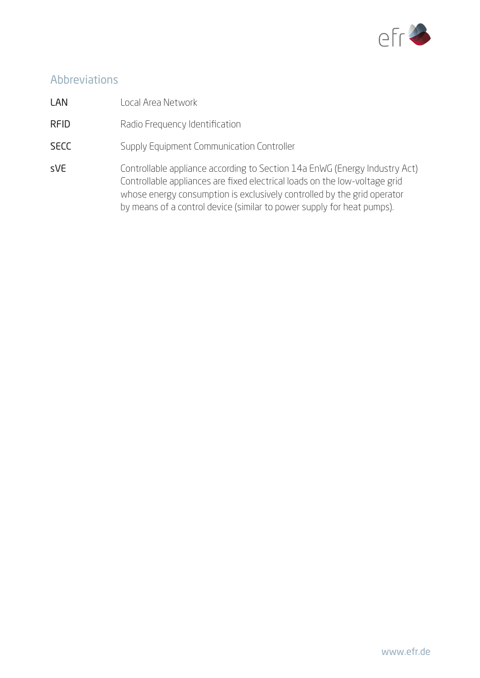

# Abbreviations

- LAN Local Area Network
- RFID Radio Frequency Identification
- SECC Supply Equipment Communication Controller
- sVE Controllable appliance according to Section 14a EnWG (Energy Industry Act) Controllable appliances are fixed electrical loads on the low-voltage grid whose energy consumption is exclusively controlled by the grid operator by means of a control device (similar to power supply for heat pumps).